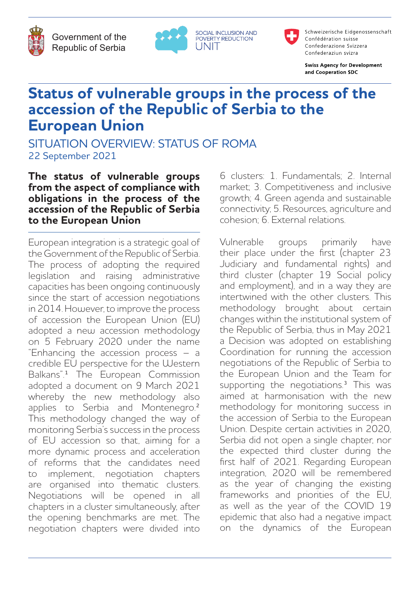Government of the Republic of Serbia



SOCIAL INCLUSION AND<br>POVERTY REDUCTION UNIT



Schweizerische Eidgenossenschaft Confédération suisse Confederazione Svizzera Confederaziun svizra

**Swiss Agency for Development** and Cooperation SDC

## **Status of vulnerable groups in the process of the accession of the Republic of Serbia to the European Union**

SITUATION OVERVIEW: STATUS OF ROMA 22 September 2021

## **The status of vulnerable groups from the aspect of compliance with obligations in the process of the accession of the Republic of Serbia to the European Union**

European integration is a strategic goal of the Government of the Republic of Serbia. The process of adopting the required legislation and raising administrative capacities has been ongoing continuously since the start of accession negotiations in 2014. However, to improve the process of accession the European Union (EU) adopted a new accession methodology on 5 February 2020 under the name "Enhancing the accession process – a credible EU perspective for the Western Balkans<sup>"1</sup> The European Commission adopted a document on 9 March 2021 whereby the new methodology also applies to Serbia and Montenegro.² This methodology changed the way of monitoring Serbia's success in the process of EU accession so that, aiming for a more dynamic process and acceleration of reforms that the candidates need implement, negotiation chapters are organised into thematic clusters. Negotiations will be opened in all chapters in a cluster simultaneously, after the opening benchmarks are met. The negotiation chapters were divided into 6 clusters: 1. Fundamentals; 2. Internal market; 3. Competitiveness and inclusive growth; 4. Green agenda and sustainable connectivity; 5. Resources, agriculture and cohesion; 6. External relations.

Vulnerable groups primarily have their place under the first (chapter 23 Judiciary and fundamental rights) and third cluster (chapter 19 Social policy and employment), and in a way they are intertwined with the other clusters. This methodology brought about certain changes within the institutional system of the Republic of Serbia, thus in May 2021 a Decision was adopted on establishing Coordination for running the accession negotiations of the Republic of Serbia to the European Union and the Team for supporting the negotiations.<sup>3</sup> This was aimed at harmonisation with the new methodology for monitoring success in the accession of Serbia to the European Union. Despite certain activities in 2020, Serbia did not open a single chapter, nor the expected third cluster during the first half of 2021. Regarding European integration, 2020 will be remembered as the year of changing the existing frameworks and priorities of the EU, as well as the year of the COVID 19 epidemic that also had a negative impact on the dynamics of the European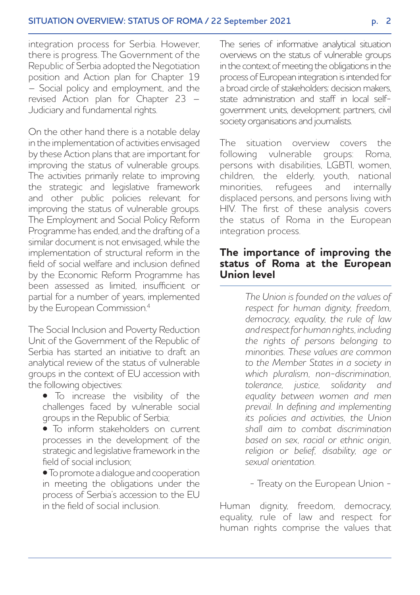integration process for Serbia. However, there is progress. The Government of the Republic of Serbia adopted the Negotiation position and Action plan for Chapter 19 – Social policy and employment, and the revised Action plan for Chapter 23 – Judiciary and fundamental rights.

On the other hand there is a notable delay in the implementation of activities envisaged by these Action plans that are important for improving the status of vulnerable groups. The activities primarily relate to improving the strategic and legislative framework and other public policies relevant for improving the status of vulnerable groups. The Employment and Social Policy Reform Programme has ended, and the drafting of a similar document is not envisaged, while the implementation of structural reform in the field of social welfare and inclusion defined by the Economic Reform Programme has been assessed as limited, insufficient or partial for a number of years, implemented by the European Commission.<sup>4</sup>

The Social Inclusion and Poverty Reduction Unit of the Government of the Republic of Serbia has started an initiative to draft an analytical review of the status of vulnerable groups in the context of EU accession with the following objectives:

• To increase the visibility of the challenges faced by vulnerable social groups in the Republic of Serbia;

• To inform stakeholders on current processes in the development of the strategic and legislative framework in the field of social inclusion;

• To promote a dialogue and cooperation in meeting the obligations under the process of Serbia's accession to the EU in the field of social inclusion.

The series of informative analytical situation overviews on the status of vulnerable groups in the context of meeting the obligations in the process of European integration is intended for a broad circle of stakeholders: decision makers, state administration and staff in local selfgovernment units, development partners, civil society organisations and journalists.

The situation overview covers the following vulnerable groups: Roma, persons with disabilities, LGBTI, women, children, the elderly, youth, national minorities, refugees and internally displaced persons, and persons living with HIV. The first of these analysis covers the status of Roma in the European integration process.

#### **The importance of improving the status of Roma at the European Union level**

*The Union is founded on the values of respect for human dignity, freedom, democracy, equality, the rule of law and respect for human rights, including the rights of persons belonging to minorities. These values are common to the Member States in a society in which pluralism, non-discrimination, tolerance, justice, solidarity and equality between women and men prevail. In defining and implementing its policies and activities, the Union shall aim to combat discrimination based on sex, racial or ethnic origin, religion or belief, disability, age or sexual orientation.*

- Treaty on the European Union -

Human dignity, freedom, democracy, equality, rule of law and respect for human rights comprise the values that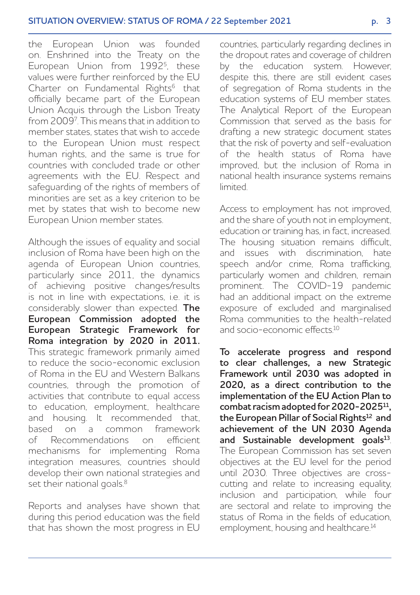the European Union was founded on. Enshrined into the Treaty on the European Union from 19925, these values were further reinforced by the EU Charter on Fundamental Rights<sup>6</sup> that officially became part of the European Union Acquis through the Lisbon Treaty from 20097 . This means that in addition to member states, states that wish to accede to the European Union must respect human rights, and the same is true for countries with concluded trade or other agreements with the EU. Respect and safeguarding of the rights of members of minorities are set as a key criterion to be met by states that wish to become new European Union member states.

Although the issues of equality and social inclusion of Roma have been high on the agenda of European Union countries, particularly since 2011, the dynamics of achieving positive changes/results is not in line with expectations, i.e. it is considerably slower than expected. **The European Commission adopted the European Strategic Framework for Roma integration by 2020 in 2011.** This strategic framework primarily aimed to reduce the socio-economic exclusion of Roma in the EU and Western Balkans countries, through the promotion of activities that contribute to equal access to education, employment, healthcare and housing. It recommended that, based on a common framework of Recommendations on efficient mechanisms for implementing Roma integration measures, countries should develop their own national strategies and set their national goals.<sup>8</sup>

Reports and analyses have shown that during this period education was the field that has shown the most progress in EU

countries, particularly regarding declines in the dropout rates and coverage of children by the education system. However, despite this, there are still evident cases of segregation of Roma students in the education systems of EU member states. The Analytical Report of the European Commission that served as the basis for drafting a new strategic document states that the risk of poverty and self-evaluation of the health status of Roma have improved, but the inclusion of Roma in national health insurance systems remains limited.

Access to employment has not improved, and the share of youth not in employment, education or training has, in fact, increased. The housing situation remains difficult, and issues with discrimination, hate speech and/or crime, Roma trafficking, particularly women and children, remain prominent. The COVID-19 pandemic had an additional impact on the extreme exposure of excluded and marginalised Roma communities to the health-related and socio-economic effects<sup>10</sup>

**To accelerate progress and respond to clear challenges, a new Strategic Framework until 2030 was adopted in 2020, as a direct contribution to the implementation of the EU Action Plan to combat racism adopted for 2020-202511, the European Pillar of Social Rights12 and achievement of the UN 2030 Agenda and Sustainable development goals13**. The European Commission has set seven objectives at the EU level for the period until 2030. Three objectives are crosscutting and relate to increasing equality, inclusion and participation, while four are sectoral and relate to improving the status of Roma in the fields of education, employment, housing and healthcare.<sup>14</sup>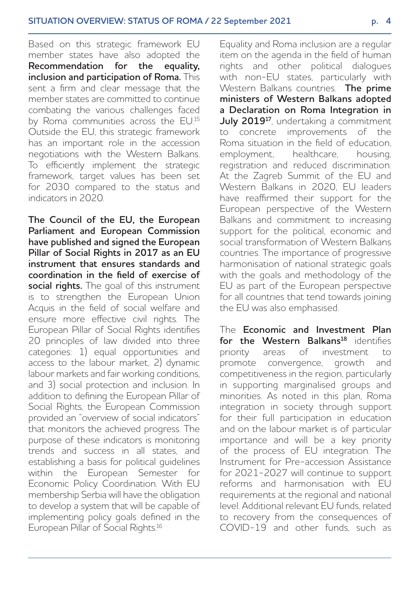Based on this strategic framework EU member states have also adopted the **Recommendation for the equality, inclusion and participation of Roma.** This sent a firm and clear message that the member states are committed to continue combating the various challenges faced by Roma communities across the EU.<sup>15</sup> Outside the EU, this strategic framework has an important role in the accession negotiations with the Western Balkans. To efficiently implement the strategic framework, target values has been set for 2030 compared to the status and indicators in 2020.

**The Council of the EU, the European Parliament and European Commission have published and signed the European Pillar of Social Rights in 2017 as an EU instrument that ensures standards and coordination in the field of exercise of social rights.** The goal of this instrument is to strengthen the European Union Acquis in the field of social welfare and ensure more effective civil rights. The European Pillar of Social Rights identifies 20 principles of law divided into three categories: 1) equal opportunities and access to the labour market, 2) dynamic labour markets and fair working conditions, and 3) social protection and inclusion. In addition to defining the European Pillar of Social Rights, the European Commission provided an "overview of social indicators" that monitors the achieved progress. The purpose of these indicators is monitoring trends and success in all states, and establishing a basis for political guidelines within the European Semester for Economic Policy Coordination. With EU membership Serbia will have the obligation to develop a system that will be capable of implementing policy goals defined in the European Pillar of Social Rights.<sup>16</sup>

Equality and Roma inclusion are a regular item on the agenda in the field of human rights and other political dialogues with non-EU states, particularly with Western Balkans countries. **The prime ministers of Western Balkans adopted a Declaration on Roma Integration in**  July 2019<sup>17</sup>, undertaking a commitment to concrete improvements of the Roma situation in the field of education, employment, healthcare, housing, registration and reduced discrimination. At the Zagreb Summit of the EU and Western Balkans in 2020, EU leaders have reaffirmed their support for the European perspective of the Western Balkans and commitment to increasing support for the political, economic and social transformation of Western Balkans countries. The importance of progressive harmonisation of national strategic goals with the goals and methodology of the EU as part of the European perspective for all countries that tend towards joining the EU was also emphasised.

The **Economic and Investment Plan**  for the Western Balkans<sup>18</sup> identifies priority areas of investment to promote convergence, growth and competitiveness in the region, particularly in supporting marginalised groups and minorities. As noted in this plan, Roma integration in society through support for their full participation in education and on the labour market is of particular importance and will be a key priority of the process of EU integration. The Instrument for Pre-accession Assistance for 2021-2027 will continue to support reforms and harmonisation with EU requirements at the regional and national level. Additional relevant EU funds, related to recovery from the consequences of COVID-19 and other funds, such as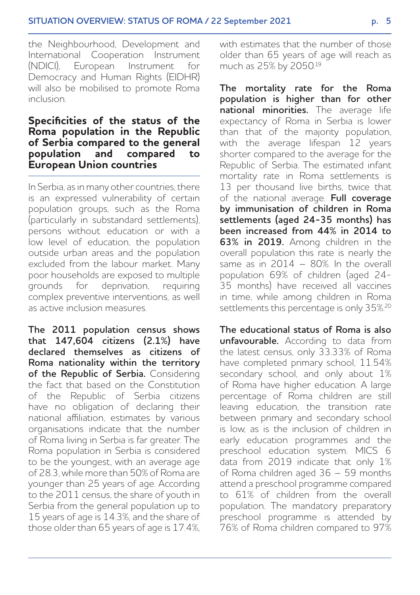the Neighbourhood, Development and International Cooperation Instrument<br>(NDICI) Furonean Instrument for European Instrument for Democracy and Human Rights (EIDHR) will also be mobilised to promote Roma inclusion.

## **Specificities of the status of the Roma population in the Republic of Serbia compared to the general population and compared to European Union countries**

In Serbia, as in many other countries, there is an expressed vulnerability of certain population groups, such as the Roma (particularly in substandard settlements), persons without education or with a low level of education, the population outside urban areas and the population excluded from the labour market. Many poor households are exposed to multiple grounds for deprivation, requiring complex preventive interventions, as well as active inclusion measures.

**The 2011 population census shows that 147,604 citizens (2.1%) have declared themselves as citizens of Roma nationality within the territory of the Republic of Serbia.** Considering the fact that based on the Constitution of the Republic of Serbia citizens have no obligation of declaring their national affiliation, estimates by various organisations indicate that the number of Roma living in Serbia is far greater. The Roma population in Serbia is considered to be the youngest, with an average age of 28.3, while more than 50% of Roma are younger than 25 years of age. According to the 2011 census, the share of youth in Serbia from the general population up to 15 years of age is 14.3%, and the share of those older than 65 years of age is 17.4%, with estimates that the number of those older than 65 years of age will reach as much as 25% by 2050.19

**The mortality rate for the Roma population is higher than for other national minorities.** The average life expectancy of Roma in Serbia is lower than that of the majority population, with the average lifespan 12 years shorter compared to the average for the Republic of Serbia. The estimated infant mortality rate in Roma settlements is 13 per thousand live births, twice that of the national average. **Full coverage by immunisation of children in Roma settlements (aged 24-35 months) has been increased from 44% in 2014 to 63% in 2019.** Among children in the overall population this rate is nearly the same as in 2014 - 80%. In the overall population 69% of children (aged 24- 35 months) have received all vaccines in time, while among children in Roma settlements this percentage is only 35%.<sup>20</sup>

**The educational status of Roma is also unfavourable.** According to data from the latest census, only 33.33% of Roma have completed primary school, 11.54% secondary school, and only about 1% of Roma have higher education. A large percentage of Roma children are still leaving education, the transition rate between primary and secondary school is low, as is the inclusion of children in early education programmes and the preschool education system. MICS 6 data from 2019 indicate that only 1% of Roma children aged 36 – 59 months attend a preschool programme compared to 61% of children from the overall population. The mandatory preparatory preschool programme is attended by 76% of Roma children compared to 97%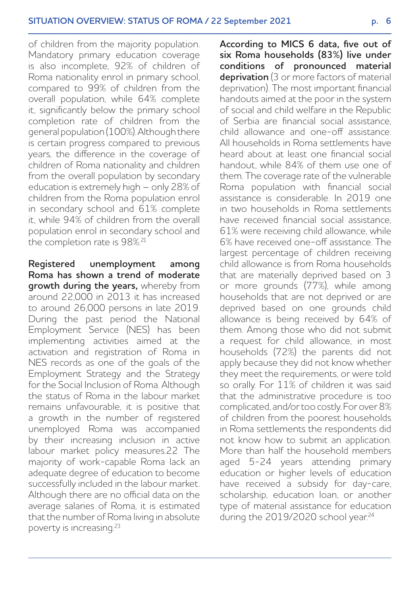of children from the majority population. Mandatory primary education coverage is also incomplete, 92% of children of Roma nationality enrol in primary school, compared to 99% of children from the overall population, while 64% complete it, significantly below the primary school completion rate of children from the general population (100%). Although there is certain progress compared to previous years, the difference in the coverage of children of Roma nationality and children from the overall population by secondary education is extremely high – only 28% of children from the Roma population enrol in secondary school and 61% complete it, while 94% of children from the overall population enrol in secondary school and the completion rate is 98%.<sup>21</sup>

**Registered unemployment among Roma has shown a trend of moderate growth during the years,** whereby from around 22,000 in 2013 it has increased to around 26,000 persons in late 2019. During the past period the National Employment Service (NES) has been implementing activities aimed at the activation and registration of Roma in NES records as one of the goals of the Employment Strategy and the Strategy for the Social Inclusion of Roma. Although the status of Roma in the labour market remains unfavourable, it is positive that a growth in the number of registered unemployed Roma was accompanied by their increasing inclusion in active labour market policy measures.22 The majority of work-capable Roma lack an adequate degree of education to become successfully included in the labour market. Although there are no official data on the average salaries of Roma, it is estimated that the number of Roma living in absolute poverty is increasing.23

**According to MICS 6 data, five out of six Roma households (83%) live under conditions of pronounced material deprivation** (3 or more factors of material deprivation). The most important financial handouts aimed at the poor in the system of social and child welfare in the Republic of Serbia are financial social assistance, child allowance and one-off assistance. All households in Roma settlements have heard about at least one financial social handout, while 84% of them use one of them. The coverage rate of the vulnerable Roma population with financial social assistance is considerable. In 2019 one in two households in Roma settlements have received financial social assistance 61% were receiving child allowance, while 6% have received one-off assistance. The largest percentage of children receiving child allowance is from Roma households that are materially deprived based on 3 or more grounds (77%), while among households that are not deprived or are deprived based on one grounds child allowance is being received by 64% of them. Among those who did not submit a request for child allowance, in most households (72%) the parents did not apply because they did not know whether they meet the requirements, or were told so orally. For 11% of children it was said that the administrative procedure is too complicated, and/or too costly. For over 8% of children from the poorest households in Roma settlements the respondents did not know how to submit an application. More than half the household members aged 5-24 years attending primary education or higher levels of education have received a subsidy for day-care, scholarship, education loan, or another type of material assistance for education during the 2019/2020 school year.<sup>24</sup>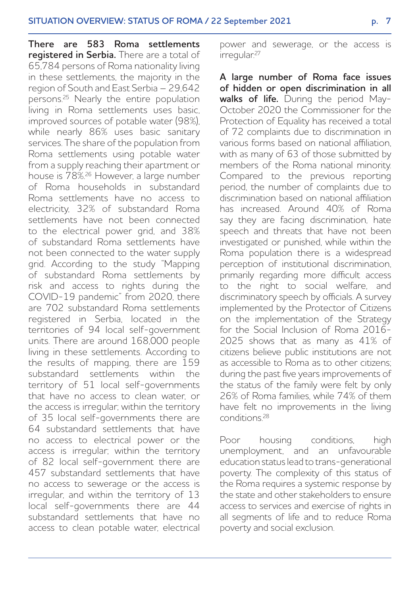**There are 583 Roma settlements registered in Serbia.** There are a total of 65,784 persons of Roma nationality living in these settlements, the majority in the region of South and East Serbia – 29,642 persons.25 Nearly the entire population living in Roma settlements uses basic, improved sources of potable water (98%), while nearly 86% uses basic sanitary services. The share of the population from Roma settlements using potable water from a supply reaching their apartment or house is 78%.26 However, a large number of Roma households in substandard Roma settlements have no access to electricity, 32% of substandard Roma settlements have not been connected to the electrical power grid, and 38% of substandard Roma settlements have not been connected to the water supply grid. According to the study "Mapping of substandard Roma settlements by risk and access to rights during the COVID-19 pandemic" from 2020, there are 702 substandard Roma settlements registered in Serbia, located in the territories of 94 local self-government units. There are around 168,000 people living in these settlements. According to the results of mapping, there are 159 substandard settlements within the territory of 51 local self-governments that have no access to clean water, or the access is irregular; within the territory of 35 local self-governments there are 64 substandard settlements that have no access to electrical power or the access is irregular; within the territory of 82 local self-government there are 457 substandard settlements that have no access to sewerage or the access is irregular, and within the territory of 13 local self-governments there are 44 substandard settlements that have no access to clean potable water, electrical

power and sewerage, or the access is irregular.27

**A large number of Roma face issues of hidden or open discrimination in all walks of life.** During the period May-October 2020 the Commissioner for the Protection of Equality has received a total of 72 complaints due to discrimination in various forms based on national affiliation, with as many of 63 of those submitted by members of the Roma national minority. Compared to the previous reporting period, the number of complaints due to discrimination based on national affiliation has increased. Around 40% of Roma say they are facing discrimination, hate speech and threats that have not been investigated or punished, while within the Roma population there is a widespread perception of institutional discrimination, primarily regarding more difficult access to the right to social welfare, and discriminatory speech by officials. A survey implemented by the Protector of Citizens on the implementation of the Strategy for the Social Inclusion of Roma 2016- 2025 shows that as many as 41% of citizens believe public institutions are not as accessible to Roma as to other citizens; during the past five years improvements of the status of the family were felt by only 26% of Roma families, while 74% of them have felt no improvements in the living conditions.28

Poor housing conditions, high unemployment, and an unfavourable education status lead to trans-generational poverty. The complexity of this status of the Roma requires a systemic response by the state and other stakeholders to ensure access to services and exercise of rights in all segments of life and to reduce Roma poverty and social exclusion.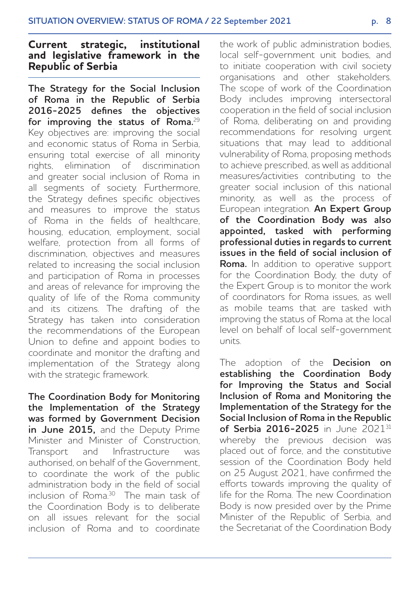## **Current strategic, institutional and legislative framework in the Republic of Serbia**

**The Strategy for the Social Inclusion of Roma in the Republic of Serbia 2016-2025 defines the objectives for improving the status of Roma.**<sup>29</sup> Key objectives are: improving the social and economic status of Roma in Serbia, ensuring total exercise of all minority rights, elimination of discrimination and greater social inclusion of Roma in all segments of society. Furthermore, the Strategy defines specific objectives and measures to improve the status of Roma in the fields of healthcare, housing, education, employment, social welfare, protection from all forms of discrimination, objectives and measures related to increasing the social inclusion and participation of Roma in processes and areas of relevance for improving the quality of life of the Roma community and its citizens. The drafting of the Strategy has taken into consideration the recommendations of the European Union to define and appoint bodies to coordinate and monitor the drafting and implementation of the Strategy along with the strategic framework.

**The Coordination Body for Monitoring the Implementation of the Strategy was formed by Government Decision in June 2015,** and the Deputy Prime Minister and Minister of Construction, Transport and Infrastructure was authorised, on behalf of the Government, to coordinate the work of the public administration body in the field of social inclusion of Roma.30 The main task of the Coordination Body is to deliberate on all issues relevant for the social inclusion of Roma and to coordinate

the work of public administration bodies, local self-government unit bodies, and to initiate cooperation with civil society organisations and other stakeholders. The scope of work of the Coordination Body includes improving intersectoral cooperation in the field of social inclusion of Roma, deliberating on and providing recommendations for resolving urgent situations that may lead to additional vulnerability of Roma, proposing methods to achieve prescribed, as well as additional measures/activities contributing to the greater social inclusion of this national minority, as well as the process of European integration. **An Expert Group of the Coordination Body was also appointed, tasked with performing professional duties in regards to current issues in the field of social inclusion of Roma.** In addition to operative support for the Coordination Body, the duty of the Expert Group is to monitor the work of coordinators for Roma issues, as well as mobile teams that are tasked with improving the status of Roma at the local level on behalf of local self-government units.

The adoption of the **Decision on establishing the Coordination Body for Improving the Status and Social Inclusion of Roma and Monitoring the Implementation of the Strategy for the Social Inclusion of Roma in the Republic of Serbia 2016-2025** in June 202131 whereby the previous decision was placed out of force, and the constitutive session of the Coordination Body held on 25 August 2021, have confirmed the efforts towards improving the quality of life for the Roma. The new Coordination Body is now presided over by the Prime Minister of the Republic of Serbia, and the Secretariat of the Coordination Body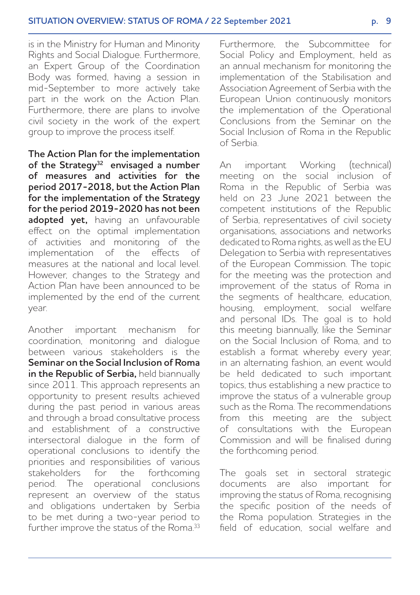is in the Ministry for Human and Minority Rights and Social Dialogue. Furthermore, an Expert Group of the Coordination Body was formed, having a session in mid-September to more actively take part in the work on the Action Plan. Furthermore, there are plans to involve civil society in the work of the expert group to improve the process itself.

**The Action Plan for the implementation of the Strategy32 envisaged a number of measures and activities for the period 2017-2018, but the Action Plan for the implementation of the Strategy for the period 2019-2020 has not been adopted yet,** having an unfavourable effect on the optimal implementation of activities and monitoring of the implementation of the effects of measures at the national and local level. However, changes to the Strategy and Action Plan have been announced to be implemented by the end of the current year.

Another important mechanism for coordination, monitoring and dialogue between various stakeholders is the **Seminar on the Social Inclusion of Roma in the Republic of Serbia,** held biannually since 2011. This approach represents an opportunity to present results achieved during the past period in various areas and through a broad consultative process and establishment of a constructive intersectoral dialogue in the form of operational conclusions to identify the priorities and responsibilities of various stakeholders for the forthcoming period. The operational conclusions represent an overview of the status and obligations undertaken by Serbia to be met during a two-year period to further improve the status of the Roma.<sup>33</sup> Furthermore, the Subcommittee for Social Policy and Employment, held as an annual mechanism for monitoring the implementation of the Stabilisation and Association Agreement of Serbia with the European Union continuously monitors the implementation of the Operational Conclusions from the Seminar on the Social Inclusion of Roma in the Republic of Serbia.

An important Working (technical) meeting on the social inclusion of Roma in the Republic of Serbia was held on 23 June 2021 between the competent institutions of the Republic of Serbia, representatives of civil society organisations, associations and networks dedicated to Roma rights, as well as the EU Delegation to Serbia with representatives of the European Commission. The topic for the meeting was the protection and improvement of the status of Roma in the segments of healthcare, education, housing, employment, social welfare and personal IDs. The goal is to hold this meeting biannually, like the Seminar on the Social Inclusion of Roma, and to establish a format whereby every year, in an alternating fashion, an event would be held dedicated to such important topics, thus establishing a new practice to improve the status of a vulnerable group such as the Roma. The recommendations from this meeting are the subject of consultations with the European Commission and will be finalised during the forthcoming period.

The goals set in sectoral strategic documents are also important for improving the status of Roma, recognising the specific position of the needs of the Roma population. Strategies in the field of education, social welfare and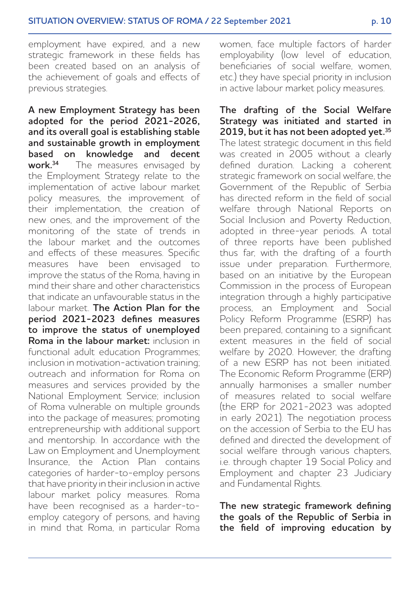employment have expired, and a new strategic framework in these fields has been created based on an analysis of the achievement of goals and effects of previous strategies.

**A new Employment Strategy has been adopted for the period 2021-2026, and its overall goal is establishing stable and sustainable growth in employment based on knowledge and decent**<br>**work**<sup>34</sup> The measures envisaged by The measures envisaged by the Employment Strategy relate to the implementation of active labour market policy measures, the improvement of their implementation, the creation of new ones, and the improvement of the monitoring of the state of trends in the labour market and the outcomes and effects of these measures. Specific measures have been envisaged to improve the status of the Roma, having in mind their share and other characteristics that indicate an unfavourable status in the labour market. **The Action Plan for the period 2021-2023 defines measures to improve the status of unemployed Roma in the labour market:** inclusion in functional adult education Programmes; inclusion in motivation-activation training; outreach and information for Roma on measures and services provided by the National Employment Service; inclusion of Roma vulnerable on multiple grounds into the package of measures; promoting entrepreneurship with additional support and mentorship. In accordance with the Law on Employment and Unemployment Insurance, the Action Plan contains categories of harder-to-employ persons that have priority in their inclusion in active labour market policy measures. Roma have been recognised as a harder-toemploy category of persons, and having in mind that Roma, in particular Roma

women, face multiple factors of harder employability (low level of education, beneficiaries of social welfare, women etc.) they have special priority in inclusion in active labour market policy measures.

**The drafting of the Social Welfare Strategy was initiated and started in 2019, but it has not been adopted yet.35**  The latest strategic document in this field was created in 2005 without a clearly defined duration. Lacking a coherent strategic framework on social welfare, the Government of the Republic of Serbia has directed reform in the field of social welfare through National Reports on Social Inclusion and Poverty Reduction, adopted in three-year periods. A total of three reports have been published thus far, with the drafting of a fourth issue under preparation. Furthermore, based on an initiative by the European Commission in the process of European integration through a highly participative process, an Employment and Social Policy Reform Programme (ESRP) has been prepared, containing to a significant extent measures in the field of social welfare by 2020. However, the drafting of a new ESRP has not been initiated. The Economic Reform Programme (ERP) annually harmonises a smaller number of measures related to social welfare (the ERP for 2021-2023 was adopted in early 2021). The negotiation process on the accession of Serbia to the EU has defined and directed the development of social welfare through various chapters, i.e. through chapter 19 Social Policy and Employment and chapter 23 Judiciary and Fundamental Rights.

**The new strategic framework defining the goals of the Republic of Serbia in the field of improving education by**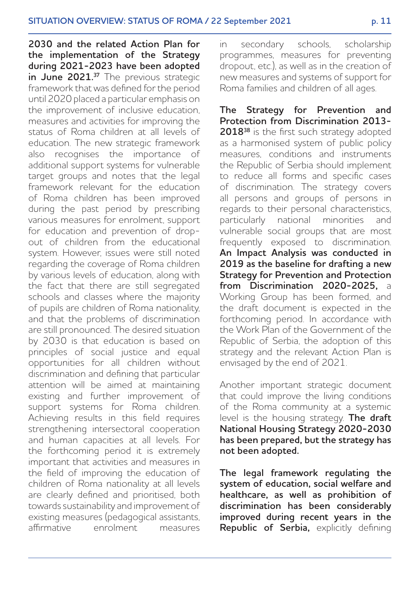**2030 and the related Action Plan for the implementation of the Strategy during 2021-2023 have been adopted in June 2021.<sup>37</sup>** The previous strategic framework that was defined for the period until 2020 placed a particular emphasis on the improvement of inclusive education, measures and activities for improving the status of Roma children at all levels of education. The new strategic framework also recognises the importance of additional support systems for vulnerable target groups and notes that the legal framework relevant for the education of Roma children has been improved during the past period by prescribing various measures for enrolment, support for education and prevention of dropout of children from the educational system. However, issues were still noted regarding the coverage of Roma children by various levels of education, along with the fact that there are still segregated schools and classes where the majority of pupils are children of Roma nationality, and that the problems of discrimination are still pronounced. The desired situation by 2030 is that education is based on principles of social justice and equal opportunities for all children without discrimination and defining that particular attention will be aimed at maintaining existing and further improvement of support systems for Roma children. Achieving results in this field requires strengthening intersectoral cooperation and human capacities at all levels. For the forthcoming period it is extremely important that activities and measures in the field of improving the education of children of Roma nationality at all levels are clearly defined and prioritised, both towards sustainability and improvement of existing measures (pedagogical assistants, affirmative enrolment measures in secondary schools, scholarship programmes, measures for preventing dropout, etc.), as well as in the creation of new measures and systems of support for Roma families and children of all ages.

**The Strategy for Prevention and Protection from Discrimination 2013-** 2018<sup>38</sup> is the first such strategy adopted as a harmonised system of public policy measures, conditions and instruments the Republic of Serbia should implement to reduce all forms and specific cases of discrimination. The strategy covers all persons and groups of persons in regards to their personal characteristics, particularly national minorities and vulnerable social groups that are most frequently exposed to discrimination. **An Impact Analysis was conducted in 2019 as the baseline for drafting a new Strategy for Prevention and Protection from Discrimination 2020-2025,** a Working Group has been formed, and the draft document is expected in the forthcoming period. In accordance with the Work Plan of the Government of the Republic of Serbia, the adoption of this strategy and the relevant Action Plan is envisaged by the end of 2021.

Another important strategic document that could improve the living conditions of the Roma community at a systemic level is the housing strategy. **The draft National Housing Strategy 2020-2030 has been prepared, but the strategy has not been adopted.** 

**The legal framework regulating the system of education, social welfare and healthcare, as well as prohibition of discrimination has been considerably improved during recent years in the Republic of Serbia,** explicitly defining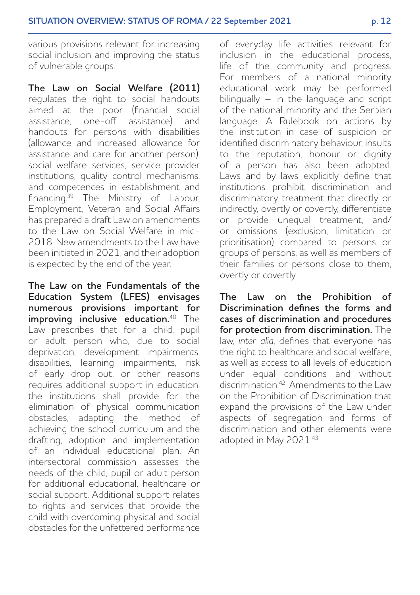various provisions relevant for increasing social inclusion and improving the status of vulnerable groups.

**The Law on Social Welfare (2011)** regulates the right to social handouts aimed at the poor (financial social assistance, one-off assistance) and handouts for persons with disabilities (allowance and increased allowance for assistance and care for another person), social welfare services, service provider institutions, quality control mechanisms, and competences in establishment and financing.<sup>39</sup> The Ministry of Labour, Employment, Veteran and Social Affairs has prepared a draft Law on amendments to the Law on Social Welfare in mid-2018. New amendments to the Law have been initiated in 2021, and their adoption is expected by the end of the year.

**The Law on the Fundamentals of the Education System (LFES) envisages numerous provisions important for improving inclusive education.**<sup>40</sup> The Law prescribes that for a child, pupil or adult person who, due to social deprivation, development impairments, disabilities, learning impairments, risk of early drop out, or other reasons requires additional support in education, the institutions shall provide for the elimination of physical communication obstacles, adapting the method of achieving the school curriculum and the drafting, adoption and implementation of an individual educational plan. An intersectoral commission assesses the needs of the child, pupil or adult person for additional educational, healthcare or social support. Additional support relates to rights and services that provide the child with overcoming physical and social obstacles for the unfettered performance of everyday life activities relevant for inclusion in the educational process, life of the community and progress. For members of a national minority educational work may be performed bilingually  $-$  in the language and script of the national minority and the Serbian language. A Rulebook on actions by the institution in case of suspicion or identified discriminatory behaviour, insults to the reputation, honour or dignity of a person has also been adopted. Laws and by-laws explicitly define that institutions prohibit discrimination and discriminatory treatment that directly or indirectly, overtly or covertly, differentiate or provide unequal treatment, and/ or omissions (exclusion, limitation or prioritisation) compared to persons or groups of persons, as well as members of their families or persons close to them, overtly or covertly.

**The Law on the Prohibition of Discrimination defines the forms and cases of discrimination and procedures for protection from discrimination.** The law, *inter alia*, defines that everyone has the right to healthcare and social welfare, as well as access to all levels of education under equal conditions and without discrimination.42 Amendments to the Law on the Prohibition of Discrimination that expand the provisions of the Law under aspects of segregation and forms of discrimination and other elements were adopted in May 2021.43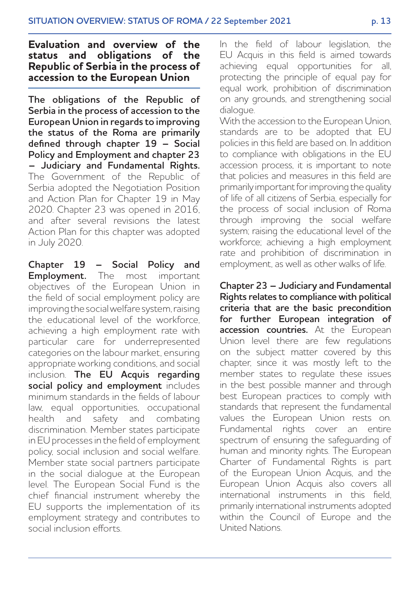## **Evaluation and overview of the status and obligations of the Republic of Serbia in the process of accession to the European Union**

**The obligations of the Republic of Serbia in the process of accession to the European Union in regards to improving the status of the Roma are primarily defined through chapter 19 – Social Policy and Employment and chapter 23 – Judiciary and Fundamental Rights.** The Government of the Republic of Serbia adopted the Negotiation Position and Action Plan for Chapter 19 in May 2020. Chapter 23 was opened in 2016, and after several revisions the latest Action Plan for this chapter was adopted in July 2020.

**Chapter 19 – Social Policy and Employment.** The most important objectives of the European Union in the field of social employment policy are improving the social welfare system, raising the educational level of the workforce, achieving a high employment rate with particular care for underrepresented categories on the labour market, ensuring appropriate working conditions, and social inclusion. **The EU Acquis regarding social policy and employment** includes minimum standards in the fields of labour law, equal opportunities, occupational health and safety and combating discrimination. Member states participate in EU processes in the field of employment policy, social inclusion and social welfare. Member state social partners participate in the social dialogue at the European level. The European Social Fund is the chief financial instrument whereby the EU supports the implementation of its employment strategy and contributes to social inclusion efforts.

In the field of labour legislation, the EU Acquis in this field is aimed towards achieving equal opportunities for all, protecting the principle of equal pay for equal work, prohibition of discrimination on any grounds, and strengthening social dialogue.

With the accession to the European Union, standards are to be adopted that EU policies in this field are based on. In addition to compliance with obligations in the EU accession process, it is important to note that policies and measures in this field are primarily important for improving the quality of life of all citizens of Serbia, especially for the process of social inclusion of Roma through improving the social welfare system; raising the educational level of the workforce; achieving a high employment rate and prohibition of discrimination in employment, as well as other walks of life.

**Chapter 23 – Judiciary and Fundamental Rights relates to compliance with political criteria that are the basic precondition for further European integration of accession countries.** At the European Union level there are few regulations on the subject matter covered by this chapter, since it was mostly left to the member states to regulate these issues in the best possible manner and through best European practices to comply with standards that represent the fundamental values the European Union rests on. Fundamental rights cover an entire spectrum of ensuring the safeguarding of human and minority rights. The European Charter of Fundamental Rights is part of the European Union Acquis, and the European Union Acquis also covers all international instruments in this field, primarily international instruments adopted within the Council of Europe and the United Nations.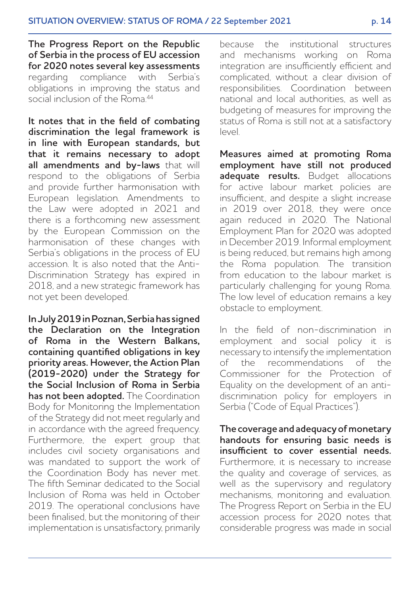**The Progress Report on the Republic of Serbia in the process of EU accession for 2020 notes several key assessments**<br>regarding compliance with Serbia's regarding compliance with obligations in improving the status and social inclusion of the Roma<sup>44</sup>

**It notes that in the field of combating discrimination the legal framework is in line with European standards, but that it remains necessary to adopt all amendments and by-laws** that will respond to the obligations of Serbia and provide further harmonisation with European legislation. Amendments to the Law were adopted in 2021 and there is a forthcoming new assessment by the European Commission on the harmonisation of these changes with Serbia's obligations in the process of EU accession. It is also noted that the Anti-Discrimination Strategy has expired in 2018, and a new strategic framework has not yet been developed.

**In July 2019 in Poznan, Serbia has signed the Declaration on the Integration of Roma in the Western Balkans, containing quantified obligations in key priority areas. However, the Action Plan (2019-2020) under the Strategy for the Social Inclusion of Roma in Serbia has not been adopted.** The Coordination Body for Monitoring the Implementation of the Strategy did not meet regularly and in accordance with the agreed frequency. Furthermore, the expert group that includes civil society organisations and was mandated to support the work of the Coordination Body has never met. The fifth Seminar dedicated to the Social Inclusion of Roma was held in October 2019. The operational conclusions have been finalised, but the monitoring of their implementation is unsatisfactory, primarily because the institutional structures and mechanisms working on Roma integration are insufficiently efficient and complicated, without a clear division of responsibilities. Coordination between national and local authorities, as well as budgeting of measures for improving the status of Roma is still not at a satisfactory level.

**Measures aimed at promoting Roma employment have still not produced adequate results.** Budget allocations for active labour market policies are insufficient, and despite a slight increase in 2019 over 2018, they were once again reduced in 2020. The National Employment Plan for 2020 was adopted in December 2019. Informal employment is being reduced, but remains high among the Roma population. The transition from education to the labour market is particularly challenging for young Roma. The low level of education remains a key obstacle to employment.

In the field of non-discrimination in employment and social policy it is necessary to intensify the implementation of the recommendations of the Commissioner for the Protection of Equality on the development of an antidiscrimination policy for employers in Serbia ("Code of Equal Practices").

**The coverage and adequacy of monetary handouts for ensuring basic needs is insufficient to cover essential needs.** Furthermore, it is necessary to increase the quality and coverage of services, as well as the supervisory and regulatory mechanisms, monitoring and evaluation. The Progress Report on Serbia in the EU accession process for 2020 notes that considerable progress was made in social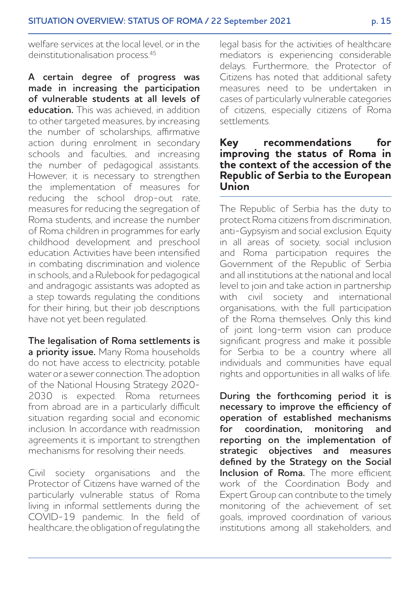welfare services at the local level, or in the deinstitutionalisation process.<sup>45</sup>

**A certain degree of progress was made in increasing the participation of vulnerable students at all levels of education**. This was achieved, in addition. to other targeted measures, by increasing the number of scholarships, affirmative action during enrolment in secondary schools and faculties, and increasing the number of pedagogical assistants. However, it is necessary to strengthen the implementation of measures for reducing the school drop-out rate, measures for reducing the segregation of Roma students, and increase the number of Roma children in programmes for early childhood development and preschool education. Activities have been intensified in combating discrimination and violence in schools, and a Rulebook for pedagogical and andragogic assistants was adopted as a step towards regulating the conditions for their hiring, but their job descriptions have not yet been regulated.

**The legalisation of Roma settlements is a priority issue.** Many Roma households do not have access to electricity, potable water or a sewer connection. The adoption of the National Housing Strategy 2020- 2030 is expected. Roma returnees from abroad are in a particularly difficult situation regarding social and economic inclusion. In accordance with readmission agreements it is important to strengthen mechanisms for resolving their needs.

Civil society organisations and the Protector of Citizens have warned of the particularly vulnerable status of Roma living in informal settlements during the COVID-19 pandemic. In the field of healthcare, the obligation of regulating the legal basis for the activities of healthcare mediators is experiencing considerable delays. Furthermore, the Protector of Citizens has noted that additional safety measures need to be undertaken in cases of particularly vulnerable categories of citizens, especially citizens of Roma settlements.

## **Key recommendations for improving the status of Roma in the context of the accession of the Republic of Serbia to the European Union**

The Republic of Serbia has the duty to protect Roma citizens from discrimination, anti-Gypsyism and social exclusion. Equity in all areas of society, social inclusion and Roma participation requires the Government of the Republic of Serbia and all institutions at the national and local level to join and take action in partnership with civil society and international organisations, with the full participation of the Roma themselves. Only this kind of joint long-term vision can produce significant progress and make it possible for Serbia to be a country where all individuals and communities have equal rights and opportunities in all walks of life.

**During the forthcoming period it is necessary to improve the efficiency of operation of established mechanisms for coordination, monitoring and reporting on the implementation of strategic objectives and measures defined by the Strategy on the Social Inclusion of Roma.** The more efficient work of the Coordination Body and Expert Group can contribute to the timely monitoring of the achievement of set goals, improved coordination of various institutions among all stakeholders, and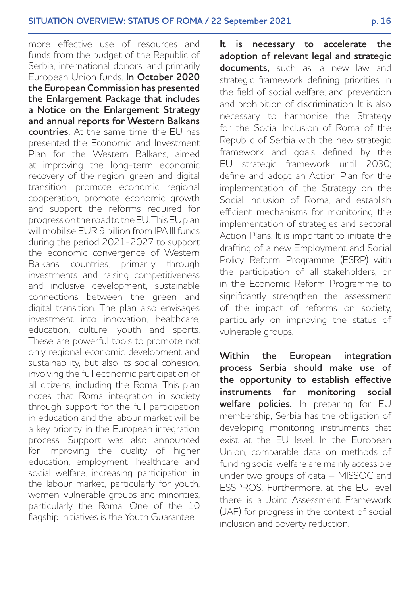more effective use of resources and funds from the budget of the Republic of Serbia, international donors, and primarily European Union funds. **In October 2020 the European Commission has presented the Enlargement Package that includes a Notice on the Enlargement Strategy and annual reports for Western Balkans countries.** At the same time, the EU has presented the Economic and Investment Plan for the Western Balkans, aimed at improving the long-term economic recovery of the region, green and digital transition, promote economic regional cooperation, promote economic growth and support the reforms required for progress on the road to the EU. This EU plan will mobilise EUR 9 billion from IPA III funds during the period 2021-2027 to support the economic convergence of Western Balkans countries, primarily through investments and raising competitiveness and inclusive development, sustainable connections between the green and digital transition. The plan also envisages investment into innovation, healthcare, education, culture, youth and sports. These are powerful tools to promote not only regional economic development and sustainability, but also its social cohesion, involving the full economic participation of all citizens, including the Roma. This plan notes that Roma integration in society through support for the full participation in education and the labour market will be a key priority in the European integration process. Support was also announced for improving the quality of higher education, employment, healthcare and social welfare, increasing participation in the labour market, particularly for youth, women, vulnerable groups and minorities, particularly the Roma. One of the 10 flagship initiatives is the Youth Guarantee.

**It is necessary to accelerate the adoption of relevant legal and strategic documents,** such as: a new law and strategic framework defining priorities in the field of social welfare; and prevention and prohibition of discrimination. It is also necessary to harmonise the Strategy for the Social Inclusion of Roma of the Republic of Serbia with the new strategic framework and goals defined by the EU strategic framework until 2030; define and adopt an Action Plan for the implementation of the Strategy on the Social Inclusion of Roma, and establish efficient mechanisms for monitoring the implementation of strategies and sectoral Action Plans. It is important to initiate the drafting of a new Employment and Social Policy Reform Programme (ESRP) with the participation of all stakeholders, or in the Economic Reform Programme to significantly strengthen the assessment of the impact of reforms on society, particularly on improving the status of vulnerable groups.

**Within the European integration process Serbia should make use of the opportunity to establish effective instruments for monitoring social welfare policies.** In preparing for EU membership, Serbia has the obligation of developing monitoring instruments that exist at the EU level. In the European Union, comparable data on methods of funding social welfare are mainly accessible under two groups of data – MISSOC and ESSPROS. Furthermore, at the EU level there is a Joint Assessment Framework (JAF) for progress in the context of social inclusion and poverty reduction.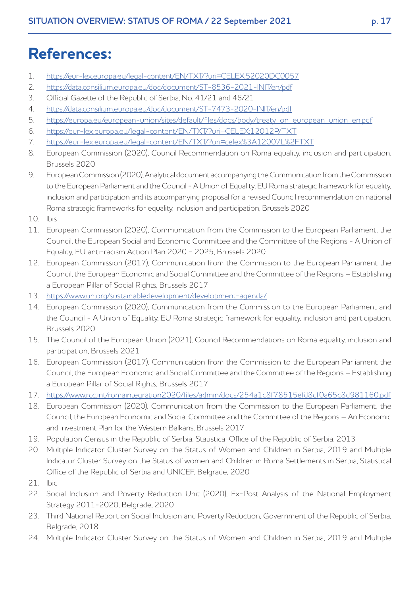# **References:**

- 1. https://eur-lex.europa.eu/legal-content/EN/TXT/?uri=CELEX:52020DC0057
- 2. https://data.consilium.europa.eu/doc/document/ST-8536-2021-INIT/en/pdf
- 3. Official Gazette of the Republic of Serbia, No. 41/21 and 46/21
- 4. https://data.consilium.europa.eu/doc/document/ST-7473-2020-INIT/en/pdf
- 5. https://europa.eu/european-union/sites/default/files/docs/body/treaty\_on\_european\_union\_en.pdf
- 6. <https://eur-lex.europa.eu/legal-content/EN/TXT/?uri=CELEX:12012P/TXT>
- 7. <https://eur-lex.europa.eu/legal-content/EN/TXT/?uri=celex%3A12007L%2FTXT>
- 8. European Commission (2020), Council Recommendation on Roma equality, inclusion and participation, Brussels 2020
- 9. European Commission (2020), Analytical document accompanying the Communication from the Commission to the European Parliament and the Council - A Union of Equality: EU Roma strategic framework for equality, inclusion and participation and its accompanying proposal for a revised Council recommendation on national Roma strategic frameworks for equality, inclusion and participation, Brussels 2020
- 10. Ibis
- 11. European Commission (2020), Communication from the Commission to the European Parliament, the Council, the European Social and Economic Committee and the Committee of the Regions - A Union of Equality, EU anti-racism Action Plan 2020 - 2025, Brussels 2020
- 12. European Commission (2017), Communication from the Commission to the European Parliament the Council, the European Economic and Social Committee and the Committee of the Regions – Establishing a European Pillar of Social Rights, Brussels 2017
- 13. https://www.un.org/sustainabledevelopment/development-agenda/
- 14. European Commission (2020), Communication from the Commission to the European Parliament and the Council - A Union of Equality, EU Roma strategic framework for equality, inclusion and participation, Brussels 2020
- 15. The Council of the European Union (2021), Council Recommendations on Roma equality, inclusion and participation, Brussels 2021
- 16. European Commission (2017), Communication from the Commission to the European Parliament the Council, the European Economic and Social Committee and the Committee of the Regions – Establishing a European Pillar of Social Rights, Brussels 2017
- 17. https://www.rcc.int/romaintegration2020/files/admin/docs/254a1c8f78515efd8cf0a65c8d981160.pdf
- 18. European Commission (2020), Communication from the Commission to the European Parliament, the Council, the European Economic and Social Committee and the Committee of the Regions – An Economic and Investment Plan for the Western Balkans, Brussels 2017
- 19. Population Census in the Republic of Serbia, Statistical Office of the Republic of Serbia, 2013
- 20. Multiple Indicator Cluster Survey on the Status of Women and Children in Serbia, 2019 and Multiple Indicator Cluster Survey on the Status of women and Children in Roma Settlements in Serbia, Statistical Office of the Republic of Serbia and UNICEF, Belgrade, 2020
- 21. Ibid
- 22. Social Inclusion and Poverty Reduction Unit (2020), Ex-Post Analysis of the National Employment Strategy 2011-2020, Belgrade, 2020
- 23. Third National Report on Social Inclusion and Poverty Reduction, Government of the Republic of Serbia, Belgrade, 2018
- 24. Multiple Indicator Cluster Survey on the Status of Women and Children in Serbia, 2019 and Multiple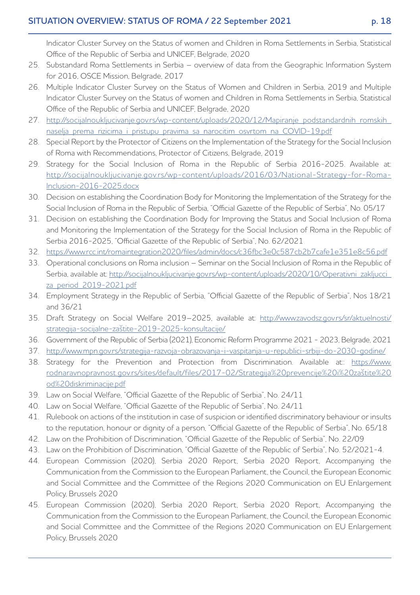Indicator Cluster Survey on the Status of women and Children in Roma Settlements in Serbia, Statistical Office of the Republic of Serbia and UNICEF, Belgrade, 2020

- 25. Substandard Roma Settlements in Serbia overview of data from the Geographic Information System for 2016, OSCE Mission, Belgrade, 2017
- 26. Multiple Indicator Cluster Survey on the Status of Women and Children in Serbia, 2019 and Multiple Indicator Cluster Survey on the Status of women and Children in Roma Settlements in Serbia, Statistical Office of the Republic of Serbia and UNICEF, Belgrade, 2020
- 27. [http://socijalnoukljucivanje.gov.rs/wp-content/uploads/2020/12/Mapiranje\\_podstandardnih\\_romskih\\_](http://socijalnoukljucivanje.gov.rs/wp-content/uploads/2020/12/Mapiranje_podstandardnih_romskih_naselja_prema_rizicima_i_pristupu_pravima_sa_narocitim_osvrtom_na_COVID-19.pdf) naselia prema rizicima i pristupu pravima sa narocitim osvrtom na COVID-19.pdf
- 28. Special Report by the Protector of Citizens on the Implementation of the Strategy for the Social Inclusion of Roma with Recommendations, Protector of Citizens, Belgrade, 2019
- 29. Strategy for the Social Inclusion of Roma in the Republic of Serbia 2016-2025. Available at: [http://socijalnoukljucivanje.gov.rs/wp-content/uploads/2016/03/National-Strategy-for-Roma-](http://socijalnoukljucivanje.gov.rs/wp-content/uploads/2016/03/National-Strategy-for-Roma-Inclusion-2016-2025.docx)Inclusion-2016-2025.docx
- 30. Decision on establishing the Coordination Body for Monitoring the Implementation of the Strategy for the Social Inclusion of Roma in the Republic of Serbia, "Official Gazette of the Republic of Serbia", No. 05/17
- 31. Decision on establishing the Coordination Body for Improving the Status and Social Inclusion of Roma and Monitoring the Implementation of the Strategy for the Social Inclusion of Roma in the Republic of Serbia 2016-2025, "Official Gazette of the Republic of Serbia", No. 62/2021
- 32. https://www.rcc.int/romaintegration2020/files/admin/docs/c36fbc3e0c587cb2b7cafe1e351e8c56.pdf
- 33. Operational conclusions on Roma inclusion Seminar on the Social Inclusion of Roma in the Republic of [Serbia, available at: http://socijalnoukljucivanje.gov.rs/wp-content/uploads/2020/10/Operativni\\_zakljucci\\_](http://socijalnoukljucivanje.gov.rs/wp-content/uploads/2020/10/Operativni_zakljucci_za_period_2019-2021.pdf) za\_period\_2019-2021.pdf
- 34. Employment Strategy in the Republic of Serbia, "Official Gazette of the Republic of Serbia", Nos 18/21 and 36/21
- 35. [Draft Strategy on Social Welfare 2019–2025, available at: http://www.zavodsz.gov.rs/sr/aktuelnosti/](http://www.zavodsz.gov.rs/sr/aktuelnosti/strategija-socijalne-za%C5%A1tite-2019-2025-konsultacije/) strategija-socijalne-zaštite-2019-2025-konsultacije/
- 36. Government of the Republic of Serbia (2021), Economic Reform Programme 2021 2023, Belgrade, 2021
- 37. http://www.mpn.gov.rs/strategija-razvoja-obrazovanja-i-vaspitanja-u-republici-srbiji-do-2030-godine/
- 38. [Strategy for the Prevention and Protection from Discrimination. Available at:: https://www.](https://www.rodnaravnopravnost.gov.rs/sites/default/files/2017-02/Strategija%20prevencije%20i%20za%C5%A1tite%20od%20diskriminacije.pdf) rodnaravnopravnost.gov.rs/sites/default/files/2017-02/Strategija%20prevencije%20i%20zaštite%20 od%20diskriminacije.pdf
- 39. Law on Social Welfare, "Official Gazette of the Republic of Serbia", No. 24/11
- 40. Law on Social Welfare, "Official Gazette of the Republic of Serbia", No. 24/11
- 41. Rulebook on actions of the institution in case of suspicion or identified discriminatory behaviour or insults to the reputation, honour or dignity of a person, "Official Gazette of the Republic of Serbia", No. 65/18
- 42. Law on the Prohibition of Discrimination, "Official Gazette of the Republic of Serbia", No. 22/09
- 43. Law on the Prohibition of Discrimination, "Official Gazette of the Republic of Serbia", No. 52/2021-4.
- 44. European Commission (2020), Serbia 2020 Report, Serbia 2020 Report, Accompanying the Communication from the Commission to the European Parliament, the Council, the European Economic and Social Committee and the Committee of the Regions 2020 Communication on EU Enlargement Policy, Brussels 2020
- 45. European Commission (2020), Serbia 2020 Report, Serbia 2020 Report, Accompanying the Communication from the Commission to the European Parliament, the Council, the European Economic and Social Committee and the Committee of the Regions 2020 Communication on EU Enlargement Policy, Brussels 2020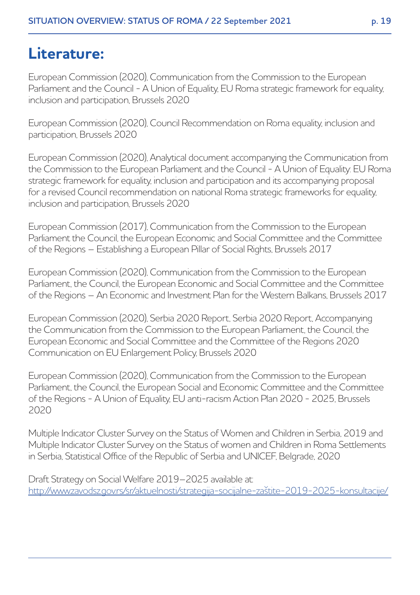# **Literature:**

European Commission (2020), Communication from the Commission to the European Parliament and the Council - A Union of Equality, EU Roma strategic framework for equality, inclusion and participation, Brussels 2020

European Commission (2020), Council Recommendation on Roma equality, inclusion and participation, Brussels 2020

European Commission (2020), Analytical document accompanying the Communication from the Commission to the European Parliament and the Council - A Union of Equality: EU Roma strategic framework for equality, inclusion and participation and its accompanying proposal for a revised Council recommendation on national Roma strategic frameworks for equality, inclusion and participation, Brussels 2020

European Commission (2017), Communication from the Commission to the European Parliament the Council, the European Economic and Social Committee and the Committee of the Regions – Establishing a European Pillar of Social Rights, Brussels 2017

European Commission (2020), Communication from the Commission to the European Parliament, the Council, the European Economic and Social Committee and the Committee of the Regions – An Economic and Investment Plan for the Western Balkans, Brussels 2017

European Commission (2020), Serbia 2020 Report, Serbia 2020 Report, Accompanying the Communication from the Commission to the European Parliament, the Council, the European Economic and Social Committee and the Committee of the Regions 2020 Communication on EU Enlargement Policy, Brussels 2020

European Commission (2020), Communication from the Commission to the European Parliament, the Council, the European Social and Economic Committee and the Committee of the Regions - A Union of Equality, EU anti-racism Action Plan 2020 - 2025, Brussels 2020

Multiple Indicator Cluster Survey on the Status of Women and Children in Serbia, 2019 and Multiple Indicator Cluster Survey on the Status of women and Children in Roma Settlements in Serbia, Statistical Office of the Republic of Serbia and UNICEF, Belgrade, 2020

Draft Strategy on Social Welfare 2019–2025 available at: http://www.zavodsz.gov.rs/sr/aktuelnosti/strategija-socijalne-zaštite-2019-2025-konsultacije/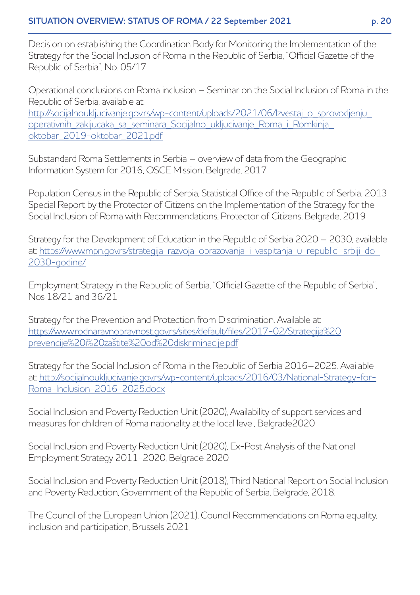Decision on establishing the Coordination Body for Monitoring the Implementation of the Strategy for the Social Inclusion of Roma in the Republic of Serbia, "Official Gazette of the Republic of Serbia", No. 05/17

Operational conclusions on Roma inclusion – Seminar on the Social Inclusion of Roma in the Republic of Serbia, available at: [http://socijalnoukljucivanje.gov.rs/wp-content/uploads/2021/06/Izvestaj\\_o\\_sprovodjenju\\_](http://socijalnoukljucivanje.gov.rs/wp-content/uploads/2021/06/Izvestaj_o_sprovodjenju_operativnih_zakljucaka_sa_seminara_Socijalno_ukljucivanje_Roma_i_Romkinja_oktobar_2019-oktobar_2021.pdf) operativnih\_zakljucaka\_sa\_seminara\_Socijalno\_ukljucivanje\_Roma\_i\_Romkinja\_ oktobar\_2019-oktobar\_2021.pdf

Substandard Roma Settlements in Serbia – overview of data from the Geographic Information System for 2016, OSCE Mission, Belgrade, 2017

Population Census in the Republic of Serbia, Statistical Office of the Republic of Serbia, 2013 Special Report by the Protector of Citizens on the Implementation of the Strategy for the Social Inclusion of Roma with Recommendations, Protector of Citizens, Belgrade, 2019

Strategy for the Development of Education in the Republic of Serbia 2020 – 2030, available at: https://www.mpn.gov.rs/strategija-razvoja-obrazovanja-i-vaspitanja-u-republici-srbiji-do-2030-godine/

Employment Strategy in the Republic of Serbia, "Official Gazette of the Republic of Serbia", Nos 18/21 and 36/21

Strategy for the Prevention and Protection from Discrimination. Available at: [https://www.rodnaravnopravnost.gov.rs/sites/default/files/2017-02/Strategija%20](https://www.rodnaravnopravnost.gov.rs/sites/default/files/2017-02/Strategija%20prevencije%20i%20za%C5%A1tite%20od%20diskriminacije.pdf) prevencije%20i%20zaštite%20od%20diskriminacije.pdf

Strategy for the Social Inclusion of Roma in the Republic of Serbia 2016–2025. Available [at: http://socijalnoukljucivanje.gov.rs/wp-content/uploads/2016/03/National-Strategy-for-](http://socijalnoukljucivanje.gov.rs/wp-content/uploads/2016/03/National-Strategy-for-Roma-Inclusion-2016-2025.docx)Roma-Inclusion-2016-2025.docx

Social Inclusion and Poverty Reduction Unit (2020), Availability of support services and measures for children of Roma nationality at the local level, Belgrade2020

Social Inclusion and Poverty Reduction Unit (2020), Ex-Post Analysis of the National Employment Strategy 2011-2020, Belgrade 2020

Social Inclusion and Poverty Reduction Unit (2018), Third National Report on Social Inclusion and Poverty Reduction, Government of the Republic of Serbia, Belgrade, 2018.

The Council of the European Union (2021), Council Recommendations on Roma equality, inclusion and participation, Brussels 2021